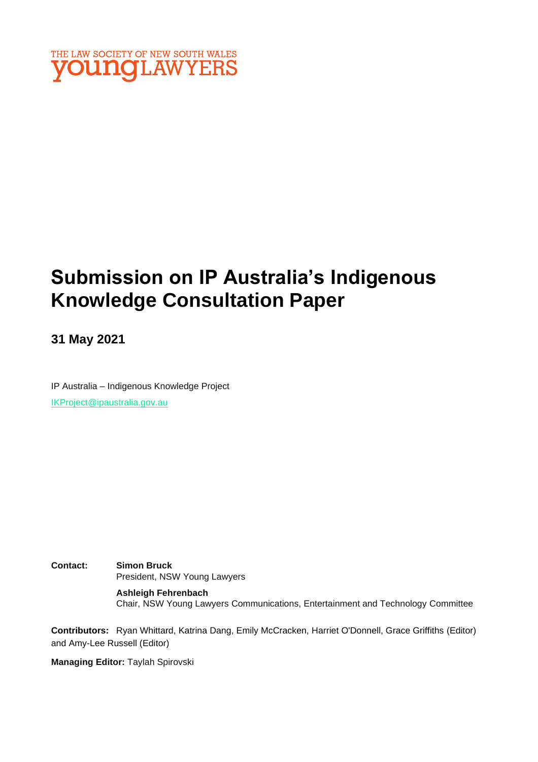

# **Submission on IP Australia's Indigenous Knowledge Consultation Paper**

**31 May 2021**

IP Australia – Indigenous Knowledge Project [IKProject@ipaustralia.gov.au](mailto:IKProject@ipaustralia.gov.au)

**Contact: Simon Bruck** President, NSW Young Lawyers

> **Ashleigh Fehrenbach** Chair, NSW Young Lawyers Communications, Entertainment and Technology Committee

**Contributors:** Ryan Whittard, Katrina Dang, Emily McCracken, Harriet O'Donnell, Grace Griffiths (Editor) and Amy-Lee Russell (Editor)

**Managing Editor:** Taylah Spirovski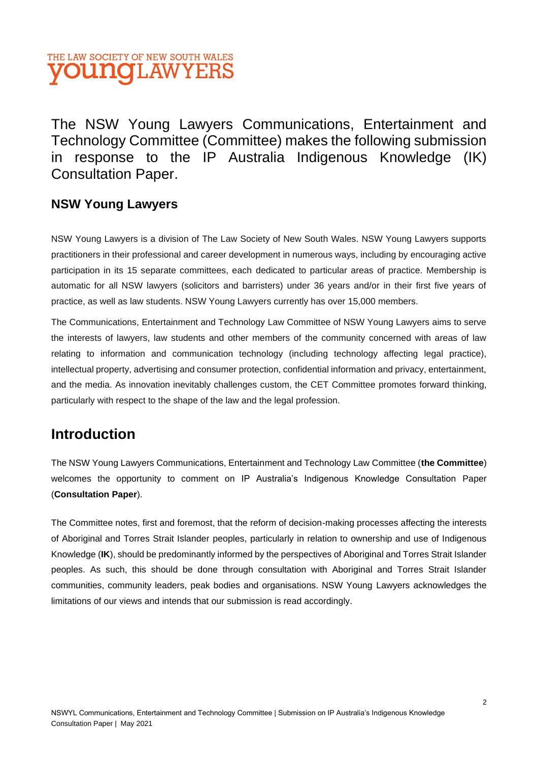## THE LAW SOCIETY OF NEW SOUTH WALES **VOUNGLAWYERS**

The NSW Young Lawyers Communications, Entertainment and Technology Committee (Committee) makes the following submission in response to the IP Australia Indigenous Knowledge (IK) Consultation Paper.

### **NSW Young Lawyers**

NSW Young Lawyers is a division of The Law Society of New South Wales. NSW Young Lawyers supports practitioners in their professional and career development in numerous ways, including by encouraging active participation in its 15 separate committees, each dedicated to particular areas of practice. Membership is automatic for all NSW lawyers (solicitors and barristers) under 36 years and/or in their first five years of practice, as well as law students. NSW Young Lawyers currently has over 15,000 members.

The Communications, Entertainment and Technology Law Committee of NSW Young Lawyers aims to serve the interests of lawyers, law students and other members of the community concerned with areas of law relating to information and communication technology (including technology affecting legal practice), intellectual property, advertising and consumer protection, confidential information and privacy, entertainment, and the media. As innovation inevitably challenges custom, the CET Committee promotes forward thinking, particularly with respect to the shape of the law and the legal profession.

### **Introduction**

The NSW Young Lawyers Communications, Entertainment and Technology Law Committee (**the Committee**) welcomes the opportunity to comment on IP Australia's Indigenous Knowledge Consultation Paper (**Consultation Paper**).

The Committee notes, first and foremost, that the reform of decision-making processes affecting the interests of Aboriginal and Torres Strait Islander peoples, particularly in relation to ownership and use of Indigenous Knowledge (**IK**), should be predominantly informed by the perspectives of Aboriginal and Torres Strait Islander peoples. As such, this should be done through consultation with Aboriginal and Torres Strait Islander communities, community leaders, peak bodies and organisations. NSW Young Lawyers acknowledges the limitations of our views and intends that our submission is read accordingly.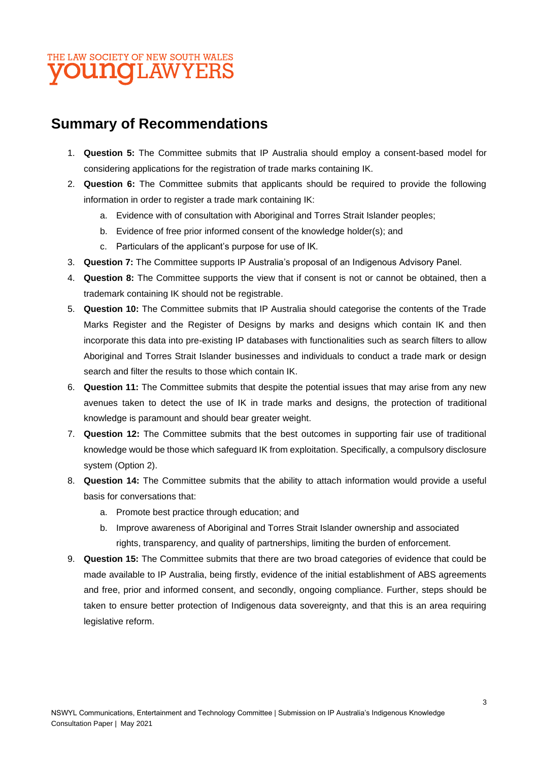## **Summary of Recommendations**

- 1. **Question 5:** The Committee submits that IP Australia should employ a consent-based model for considering applications for the registration of trade marks containing IK.
- 2. **Question 6:** The Committee submits that applicants should be required to provide the following information in order to register a trade mark containing IK:
	- a. Evidence with of consultation with Aboriginal and Torres Strait Islander peoples;
	- b. Evidence of free prior informed consent of the knowledge holder(s); and
	- c. Particulars of the applicant's purpose for use of IK.
- 3. **Question 7:** The Committee supports IP Australia's proposal of an Indigenous Advisory Panel.
- 4. **Question 8:** The Committee supports the view that if consent is not or cannot be obtained, then a trademark containing IK should not be registrable.
- 5. **Question 10:** The Committee submits that IP Australia should categorise the contents of the Trade Marks Register and the Register of Designs by marks and designs which contain IK and then incorporate this data into pre-existing IP databases with functionalities such as search filters to allow Aboriginal and Torres Strait Islander businesses and individuals to conduct a trade mark or design search and filter the results to those which contain IK.
- 6. **Question 11:** The Committee submits that despite the potential issues that may arise from any new avenues taken to detect the use of IK in trade marks and designs, the protection of traditional knowledge is paramount and should bear greater weight.
- 7. **Question 12:** The Committee submits that the best outcomes in supporting fair use of traditional knowledge would be those which safeguard IK from exploitation. Specifically, a compulsory disclosure system (Option 2).
- 8. **Question 14:** The Committee submits that the ability to attach information would provide a useful basis for conversations that:
	- a. Promote best practice through education; and
	- b. Improve awareness of Aboriginal and Torres Strait Islander ownership and associated rights, transparency, and quality of partnerships, limiting the burden of enforcement.
- 9. **Question 15:** The Committee submits that there are two broad categories of evidence that could be made available to IP Australia, being firstly, evidence of the initial establishment of ABS agreements and free, prior and informed consent, and secondly, ongoing compliance. Further, steps should be taken to ensure better protection of Indigenous data sovereignty, and that this is an area requiring legislative reform.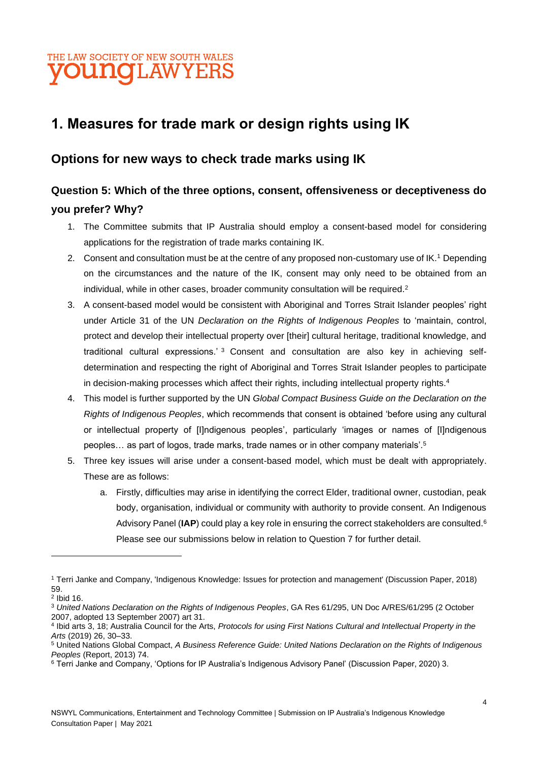## **1. Measures for trade mark or design rights using IK**

### **Options for new ways to check trade marks using IK**

### **Question 5: Which of the three options, consent, offensiveness or deceptiveness do you prefer? Why?**

- 1. The Committee submits that IP Australia should employ a consent-based model for considering applications for the registration of trade marks containing IK.
- 2. Consent and consultation must be at the centre of any proposed non-customary use of IK.<sup>1</sup> Depending on the circumstances and the nature of the IK, consent may only need to be obtained from an individual, while in other cases, broader community consultation will be required.<sup>2</sup>
- 3. A consent-based model would be consistent with Aboriginal and Torres Strait Islander peoples' right under Article 31 of the UN *Declaration on the Rights of Indigenous Peoples* to 'maintain, control, protect and develop their intellectual property over [their] cultural heritage, traditional knowledge, and traditional cultural expressions.' <sup>3</sup> Consent and consultation are also key in achieving selfdetermination and respecting the right of Aboriginal and Torres Strait Islander peoples to participate in decision-making processes which affect their rights, including intellectual property rights.<sup>4</sup>
- 4. This model is further supported by the UN *Global Compact Business Guide on the Declaration on the Rights of Indigenous Peoples*, which recommends that consent is obtained 'before using any cultural or intellectual property of [I]ndigenous peoples', particularly 'images or names of [I]ndigenous peoples… as part of logos, trade marks, trade names or in other company materials'.<sup>5</sup>
- 5. Three key issues will arise under a consent-based model, which must be dealt with appropriately. These are as follows:
	- a. Firstly, difficulties may arise in identifying the correct Elder, traditional owner, custodian, peak body, organisation, individual or community with authority to provide consent. An Indigenous Advisory Panel (**IAP**) could play a key role in ensuring the correct stakeholders are consulted.<sup>6</sup> Please see our submissions below in relation to Question 7 for further detail.

<sup>1</sup> Terri Janke and Company, 'Indigenous Knowledge: Issues for protection and management' (Discussion Paper, 2018) 59.

<sup>2</sup> Ibid 16.

<sup>3</sup> *United Nations Declaration on the Rights of Indigenous Peoples*, GA Res 61/295, UN Doc A/RES/61/295 (2 October 2007, adopted 13 September 2007) art 31.

<sup>4</sup> Ibid arts 3, 18; Australia Council for the Arts, *Protocols for using First Nations Cultural and Intellectual Property in the Arts* (2019) 26, 30–33.

<sup>5</sup> United Nations Global Compact, *A Business Reference Guide: United Nations Declaration on the Rights of Indigenous Peoples* (Report, 2013) 74.

<sup>6</sup> Terri Janke and Company, 'Options for IP Australia's Indigenous Advisory Panel' (Discussion Paper, 2020) 3.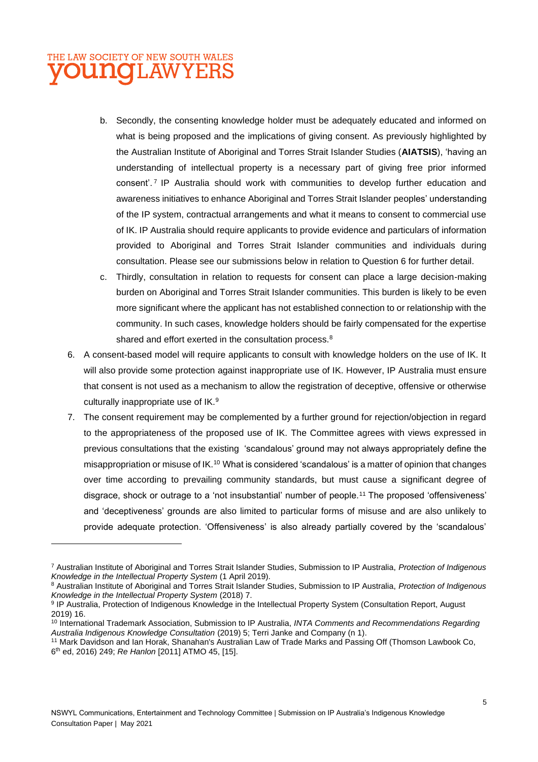- b. Secondly, the consenting knowledge holder must be adequately educated and informed on what is being proposed and the implications of giving consent. As previously highlighted by the Australian Institute of Aboriginal and Torres Strait Islander Studies (**AIATSIS**), 'having an understanding of intellectual property is a necessary part of giving free prior informed consent'. <sup>7</sup> IP Australia should work with communities to develop further education and awareness initiatives to enhance Aboriginal and Torres Strait Islander peoples' understanding of the IP system, contractual arrangements and what it means to consent to commercial use of IK. IP Australia should require applicants to provide evidence and particulars of information provided to Aboriginal and Torres Strait Islander communities and individuals during consultation. Please see our submissions below in relation to Question 6 for further detail.
- c. Thirdly, consultation in relation to requests for consent can place a large decision-making burden on Aboriginal and Torres Strait Islander communities. This burden is likely to be even more significant where the applicant has not established connection to or relationship with the community. In such cases, knowledge holders should be fairly compensated for the expertise shared and effort exerted in the consultation process.<sup>8</sup>
- 6. A consent-based model will require applicants to consult with knowledge holders on the use of IK. It will also provide some protection against inappropriate use of IK. However, IP Australia must ensure that consent is not used as a mechanism to allow the registration of deceptive, offensive or otherwise culturally inappropriate use of IK.<sup>9</sup>
- 7. The consent requirement may be complemented by a further ground for rejection/objection in regard to the appropriateness of the proposed use of IK. The Committee agrees with views expressed in previous consultations that the existing 'scandalous' ground may not always appropriately define the misappropriation or misuse of IK.<sup>10</sup> What is considered 'scandalous' is a matter of opinion that changes over time according to prevailing community standards, but must cause a significant degree of disgrace, shock or outrage to a 'not insubstantial' number of people.<sup>11</sup> The proposed 'offensiveness' and 'deceptiveness' grounds are also limited to particular forms of misuse and are also unlikely to provide adequate protection. 'Offensiveness' is also already partially covered by the 'scandalous'

<sup>7</sup> Australian Institute of Aboriginal and Torres Strait Islander Studies, Submission to IP Australia, *Protection of Indigenous Knowledge in the Intellectual Property System* (1 April 2019).

<sup>8</sup> Australian Institute of Aboriginal and Torres Strait Islander Studies, Submission to IP Australia, *Protection of Indigenous Knowledge in the Intellectual Property System* (2018) 7.

<sup>&</sup>lt;sup>9</sup> IP Australia, Protection of Indigenous Knowledge in the Intellectual Property System (Consultation Report, August 2019) 16.

<sup>10</sup> International Trademark Association, Submission to IP Australia, *INTA Comments and Recommendations Regarding Australia Indigenous Knowledge Consultation* (2019) 5; Terri Janke and Company (n 1).

<sup>11</sup> Mark Davidson and Ian Horak, Shanahan's Australian Law of Trade Marks and Passing Off (Thomson Lawbook Co, 6 th ed, 2016) 249; *Re Hanlon* [2011] ATMO 45, [15].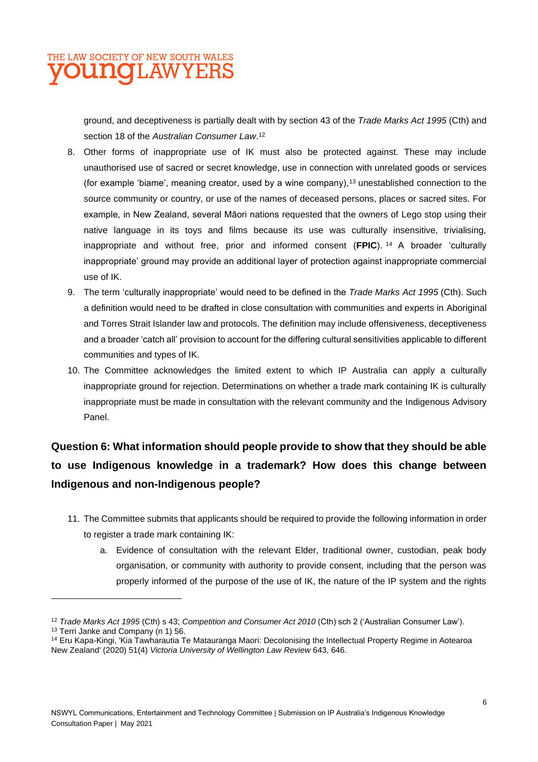ground, and deceptiveness is partially dealt with by section 43 of the *Trade Marks Act 1995* (Cth) and section 18 of the *Australian Consumer Law*. 12

- 8. Other forms of inappropriate use of IK must also be protected against. These may include unauthorised use of sacred or secret knowledge, use in connection with unrelated goods or services (for example 'biame', meaning creator, used by a wine company),<sup>13</sup> unestablished connection to the source community or country, or use of the names of deceased persons, places or sacred sites. For example, in New Zealand, several Māori nations requested that the owners of Lego stop using their native language in its toys and films because its use was culturally insensitive, trivialising, inappropriate and without free, prior and informed consent (**FPIC**). <sup>14</sup> A broader 'culturally inappropriate' ground may provide an additional layer of protection against inappropriate commercial use of IK.
- 9. The term 'culturally inappropriate' would need to be defined in the *Trade Marks Act 1995* (Cth). Such a definition would need to be drafted in close consultation with communities and experts in Aboriginal and Torres Strait Islander law and protocols. The definition may include offensiveness, deceptiveness and a broader 'catch all' provision to account for the differing cultural sensitivities applicable to different communities and types of IK.
- 10. The Committee acknowledges the limited extent to which IP Australia can apply a culturally inappropriate ground for rejection. Determinations on whether a trade mark containing IK is culturally inappropriate must be made in consultation with the relevant community and the Indigenous Advisory Panel.

## **Question 6: What information should people provide to show that they should be able to use Indigenous knowledge in a trademark? How does this change between Indigenous and non-Indigenous people?**

- 11. The Committee submits that applicants should be required to provide the following information in order to register a trade mark containing IK:
	- a. Evidence of consultation with the relevant Elder, traditional owner, custodian, peak body organisation, or community with authority to provide consent, including that the person was properly informed of the purpose of the use of IK, the nature of the IP system and the rights

<sup>12</sup> *Trade Marks Act 1995* (Cth) s 43; *Competition and Consumer Act 2010* (Cth) sch 2 ('Australian Consumer Law'). <sup>13</sup> Terri Janke and Company (n 1) 56.

<sup>&</sup>lt;sup>14</sup> Eru Kapa-Kingi, 'Kia Tawharautia Te Matauranga Maori: Decolonising the Intellectual Property Regime in Aotearoa New Zealand' (2020) 51(4) *Victoria University of Wellington Law Review* 643, 646.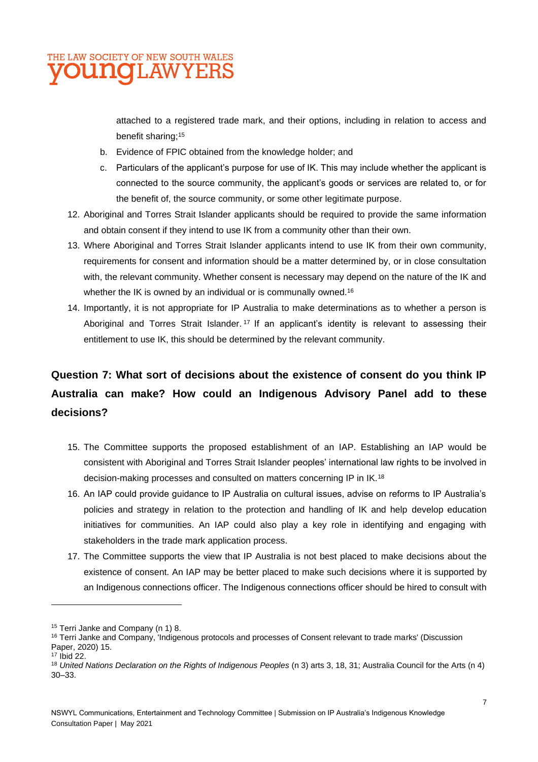

attached to a registered trade mark, and their options, including in relation to access and benefit sharing;<sup>15</sup>

- b. Evidence of FPIC obtained from the knowledge holder; and
- c. Particulars of the applicant's purpose for use of IK. This may include whether the applicant is connected to the source community, the applicant's goods or services are related to, or for the benefit of, the source community, or some other legitimate purpose.
- 12. Aboriginal and Torres Strait Islander applicants should be required to provide the same information and obtain consent if they intend to use IK from a community other than their own.
- 13. Where Aboriginal and Torres Strait Islander applicants intend to use IK from their own community, requirements for consent and information should be a matter determined by, or in close consultation with, the relevant community. Whether consent is necessary may depend on the nature of the IK and whether the IK is owned by an individual or is communally owned.<sup>16</sup>
- 14. Importantly, it is not appropriate for IP Australia to make determinations as to whether a person is Aboriginal and Torres Strait Islander.<sup>17</sup> If an applicant's identity is relevant to assessing their entitlement to use IK, this should be determined by the relevant community.

## **Question 7: What sort of decisions about the existence of consent do you think IP Australia can make? How could an Indigenous Advisory Panel add to these decisions?**

- 15. The Committee supports the proposed establishment of an IAP. Establishing an IAP would be consistent with Aboriginal and Torres Strait Islander peoples' international law rights to be involved in decision-making processes and consulted on matters concerning IP in IK.<sup>18</sup>
- 16. An IAP could provide guidance to IP Australia on cultural issues, advise on reforms to IP Australia's policies and strategy in relation to the protection and handling of IK and help develop education initiatives for communities. An IAP could also play a key role in identifying and engaging with stakeholders in the trade mark application process.
- 17. The Committee supports the view that IP Australia is not best placed to make decisions about the existence of consent. An IAP may be better placed to make such decisions where it is supported by an Indigenous connections officer. The Indigenous connections officer should be hired to consult with

<sup>&</sup>lt;sup>15</sup> Terri Janke and Company (n 1) 8.

<sup>&</sup>lt;sup>16</sup> Terri Janke and Company, 'Indigenous protocols and processes of Consent relevant to trade marks' (Discussion Paper, 2020) 15.

<sup>17</sup> Ibid 22.

<sup>18</sup> *United Nations Declaration on the Rights of Indigenous Peoples* (n 3) arts 3, 18, 31; Australia Council for the Arts (n 4) 30–33.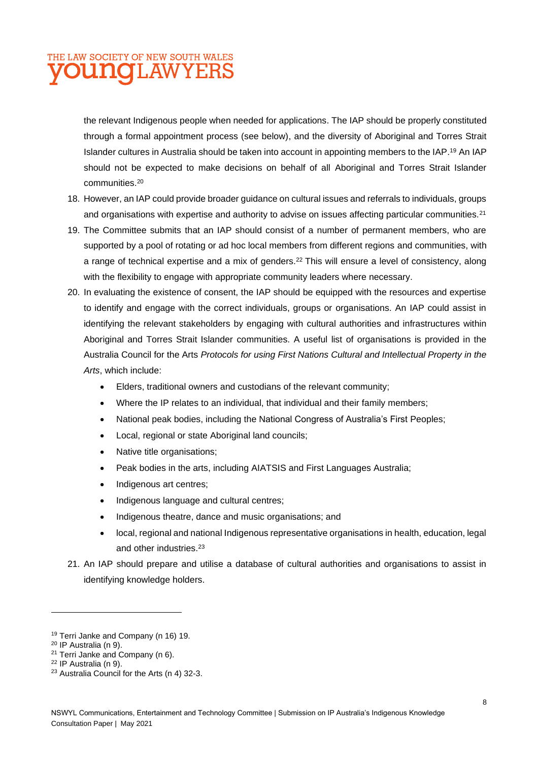## THE LAW SOCIETY OF NEW SOUTH WALES *TOUNGLAWYERS*

the relevant Indigenous people when needed for applications. The IAP should be properly constituted through a formal appointment process (see below), and the diversity of Aboriginal and Torres Strait Islander cultures in Australia should be taken into account in appointing members to the IAP. <sup>19</sup> An IAP should not be expected to make decisions on behalf of all Aboriginal and Torres Strait Islander communities. 20

- 18. However, an IAP could provide broader guidance on cultural issues and referrals to individuals, groups and organisations with expertise and authority to advise on issues affecting particular communities.<sup>21</sup>
- 19. The Committee submits that an IAP should consist of a number of permanent members, who are supported by a pool of rotating or ad hoc local members from different regions and communities, with a range of technical expertise and a mix of genders.<sup>22</sup> This will ensure a level of consistency, along with the flexibility to engage with appropriate community leaders where necessary.
- 20. In evaluating the existence of consent, the IAP should be equipped with the resources and expertise to identify and engage with the correct individuals, groups or organisations. An IAP could assist in identifying the relevant stakeholders by engaging with cultural authorities and infrastructures within Aboriginal and Torres Strait Islander communities. A useful list of organisations is provided in the Australia Council for the Arts *Protocols for using First Nations Cultural and Intellectual Property in the Arts*, which include:
	- Elders, traditional owners and custodians of the relevant community;
	- Where the IP relates to an individual, that individual and their family members;
	- National peak bodies, including the National Congress of Australia's First Peoples;
	- Local, regional or state Aboriginal land councils;
	- Native title organisations;
	- Peak bodies in the arts, including AIATSIS and First Languages Australia;
	- Indigenous art centres;
	- Indigenous language and cultural centres;
	- Indigenous theatre, dance and music organisations; and
	- local, regional and national Indigenous representative organisations in health, education, legal and other industries.<sup>23</sup>
- 21. An IAP should prepare and utilise a database of cultural authorities and organisations to assist in identifying knowledge holders.

<sup>19</sup> Terri Janke and Company (n 16) 19.

<sup>20</sup> IP Australia (n 9).

<sup>21</sup> Terri Janke and Company (n 6).

<sup>22</sup> IP Australia (n 9).

<sup>23</sup> Australia Council for the Arts (n 4) 32-3.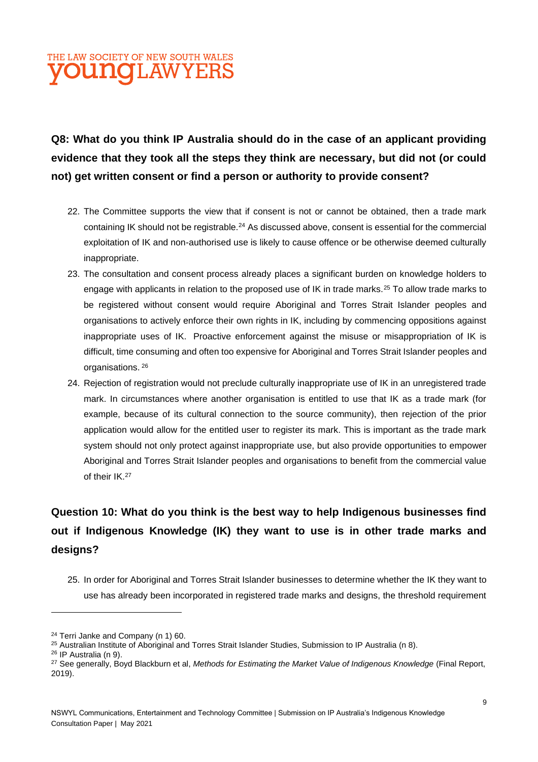

## **Q8: What do you think IP Australia should do in the case of an applicant providing evidence that they took all the steps they think are necessary, but did not (or could not) get written consent or find a person or authority to provide consent?**

- 22. The Committee supports the view that if consent is not or cannot be obtained, then a trade mark containing IK should not be registrable.<sup>24</sup> As discussed above, consent is essential for the commercial exploitation of IK and non-authorised use is likely to cause offence or be otherwise deemed culturally inappropriate.
- 23. The consultation and consent process already places a significant burden on knowledge holders to engage with applicants in relation to the proposed use of IK in trade marks.<sup>25</sup> To allow trade marks to be registered without consent would require Aboriginal and Torres Strait Islander peoples and organisations to actively enforce their own rights in IK, including by commencing oppositions against inappropriate uses of IK. Proactive enforcement against the misuse or misappropriation of IK is difficult, time consuming and often too expensive for Aboriginal and Torres Strait Islander peoples and organisations. <sup>26</sup>
- 24. Rejection of registration would not preclude culturally inappropriate use of IK in an unregistered trade mark. In circumstances where another organisation is entitled to use that IK as a trade mark (for example, because of its cultural connection to the source community), then rejection of the prior application would allow for the entitled user to register its mark. This is important as the trade mark system should not only protect against inappropriate use, but also provide opportunities to empower Aboriginal and Torres Strait Islander peoples and organisations to benefit from the commercial value of their IK.<sup>27</sup>

## **Question 10: What do you think is the best way to help Indigenous businesses find out if Indigenous Knowledge (IK) they want to use is in other trade marks and designs?**

25. In order for Aboriginal and Torres Strait Islander businesses to determine whether the IK they want to use has already been incorporated in registered trade marks and designs, the threshold requirement

<sup>&</sup>lt;sup>24</sup> Terri Janke and Company (n 1) 60.

<sup>&</sup>lt;sup>25</sup> Australian Institute of Aboriginal and Torres Strait Islander Studies, Submission to IP Australia (n 8).

<sup>26</sup> IP Australia (n 9).

<sup>&</sup>lt;sup>27</sup> See generally, Boyd Blackburn et al, *Methods for Estimating the Market Value of Indigenous Knowledge* (Final Report, 2019).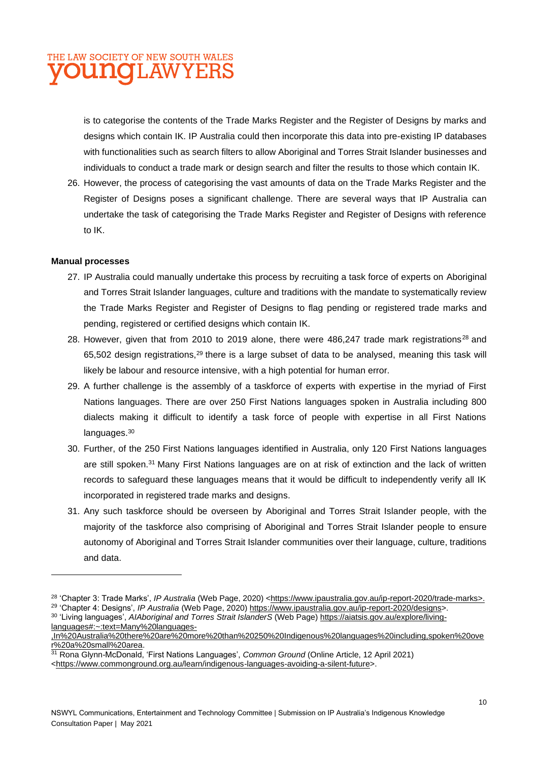## THE LAW SOCIETY OF NEW SOUTH WALES **VOUNGLAWYERS**

is to categorise the contents of the Trade Marks Register and the Register of Designs by marks and designs which contain IK. IP Australia could then incorporate this data into pre-existing IP databases with functionalities such as search filters to allow Aboriginal and Torres Strait Islander businesses and individuals to conduct a trade mark or design search and filter the results to those which contain IK.

26. However, the process of categorising the vast amounts of data on the Trade Marks Register and the Register of Designs poses a significant challenge. There are several ways that IP Australia can undertake the task of categorising the Trade Marks Register and Register of Designs with reference to IK.

#### **Manual processes**

- 27. IP Australia could manually undertake this process by recruiting a task force of experts on Aboriginal and Torres Strait Islander languages, culture and traditions with the mandate to systematically review the Trade Marks Register and Register of Designs to flag pending or registered trade marks and pending, registered or certified designs which contain IK.
- 28. However, given that from 2010 to 2019 alone, there were  $486,247$  trade mark registrations<sup>28</sup> and 65,502 design registrations,<sup>29</sup> there is a large subset of data to be analysed, meaning this task will likely be labour and resource intensive, with a high potential for human error.
- 29. A further challenge is the assembly of a taskforce of experts with expertise in the myriad of First Nations languages. There are over 250 First Nations languages spoken in Australia including 800 dialects making it difficult to identify a task force of people with expertise in all First Nations languages.<sup>30</sup>
- 30. Further, of the 250 First Nations languages identified in Australia, only 120 First Nations languages are still spoken.<sup>31</sup> Many First Nations languages are on at risk of extinction and the lack of written records to safeguard these languages means that it would be difficult to independently verify all IK incorporated in registered trade marks and designs.
- 31. Any such taskforce should be overseen by Aboriginal and Torres Strait Islander people, with the majority of the taskforce also comprising of Aboriginal and Torres Strait Islander people to ensure autonomy of Aboriginal and Torres Strait Islander communities over their language, culture, traditions and data.

<sup>&</sup>lt;sup>28</sup> 'Chapter 3: Trade Marks', *IP Australia* (Web Page, 2020) <<u>https://www.ipaustralia.gov.au/ip-report-2020/trade-marks>.</u> <sup>29</sup> 'Chapter 4: Designs', *IP Australia* (Web Page, 2020) [https://www.ipaustralia.gov.au/ip-report-2020/designs>](https://www.ipaustralia.gov.au/ip-report-2020/designs).

<sup>30</sup> 'Living languages', *AIAboriginal and Torres Strait IslanderS* (Web Page) [https://aiatsis.gov.au/explore/living](https://aiatsis.gov.au/explore/living-languages#:~:text=Many%20languages-,In%20Australia%20there%20are%20more%20than%20250%20Indigenous%20languages%20including,spoken%20over%20a%20small%20area)[languages#:~:text=Many%20languages-](https://aiatsis.gov.au/explore/living-languages#:~:text=Many%20languages-,In%20Australia%20there%20are%20more%20than%20250%20Indigenous%20languages%20including,spoken%20over%20a%20small%20area)

[<sup>,</sup>In%20Australia%20there%20are%20more%20than%20250%20Indigenous%20languages%20including,spoken%20ove](https://aiatsis.gov.au/explore/living-languages#:~:text=Many%20languages-,In%20Australia%20there%20are%20more%20than%20250%20Indigenous%20languages%20including,spoken%20over%20a%20small%20area) [r%20a%20small%20area.](https://aiatsis.gov.au/explore/living-languages#:~:text=Many%20languages-,In%20Australia%20there%20are%20more%20than%20250%20Indigenous%20languages%20including,spoken%20over%20a%20small%20area)

<sup>31</sup> Rona Glynn-McDonald, 'First Nations Languages', *Common Ground* (Online Article, 12 April 2021) [<https://www.commonground.org.au/learn/indigenous-languages-avoiding-a-silent-future>](https://www.commonground.org.au/learn/indigenous-languages-avoiding-a-silent-future).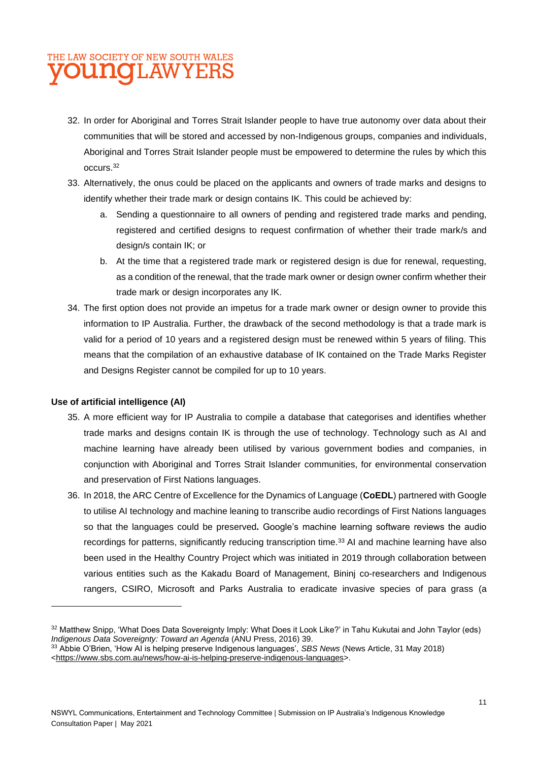- 32. In order for Aboriginal and Torres Strait Islander people to have true autonomy over data about their communities that will be stored and accessed by non-Indigenous groups, companies and individuals, Aboriginal and Torres Strait Islander people must be empowered to determine the rules by which this occurs.<sup>32</sup>
- 33. Alternatively, the onus could be placed on the applicants and owners of trade marks and designs to identify whether their trade mark or design contains IK. This could be achieved by:
	- a. Sending a questionnaire to all owners of pending and registered trade marks and pending, registered and certified designs to request confirmation of whether their trade mark/s and design/s contain IK; or
	- b. At the time that a registered trade mark or registered design is due for renewal, requesting, as a condition of the renewal, that the trade mark owner or design owner confirm whether their trade mark or design incorporates any IK.
- 34. The first option does not provide an impetus for a trade mark owner or design owner to provide this information to IP Australia. Further, the drawback of the second methodology is that a trade mark is valid for a period of 10 years and a registered design must be renewed within 5 years of filing. This means that the compilation of an exhaustive database of IK contained on the Trade Marks Register and Designs Register cannot be compiled for up to 10 years.

#### **Use of artificial intelligence (AI)**

- 35. A more efficient way for IP Australia to compile a database that categorises and identifies whether trade marks and designs contain IK is through the use of technology. Technology such as AI and machine learning have already been utilised by various government bodies and companies, in conjunction with Aboriginal and Torres Strait Islander communities, for environmental conservation and preservation of First Nations languages.
- 36. In 2018, the ARC Centre of Excellence for the Dynamics of Language (**CoEDL**) partnered with Google to utilise AI technology and machine leaning to transcribe audio recordings of First Nations languages so that the languages could be preserved*.* Google's machine learning software reviews the audio recordings for patterns, significantly reducing transcription time.<sup>33</sup> AI and machine learning have also been used in the Healthy Country Project which was initiated in 2019 through collaboration between various entities such as the Kakadu Board of Management, Bininj co-researchers and Indigenous rangers, CSIRO, Microsoft and Parks Australia to eradicate invasive species of para grass (a

<sup>32</sup> Matthew Snipp, 'What Does Data Sovereignty Imply: What Does it Look Like?' in Tahu Kukutai and John Taylor (eds) *Indigenous Data Sovereignty: Toward an Agenda* (ANU Press, 2016) 39.

<sup>33</sup> Abbie O'Brien, 'How AI is helping preserve Indigenous languages', *SBS News* (News Article, 31 May 2018) [<https://www.sbs.com.au/news/how-ai-is-helping-preserve-indigenous-languages>](https://www.sbs.com.au/news/how-ai-is-helping-preserve-indigenous-languages).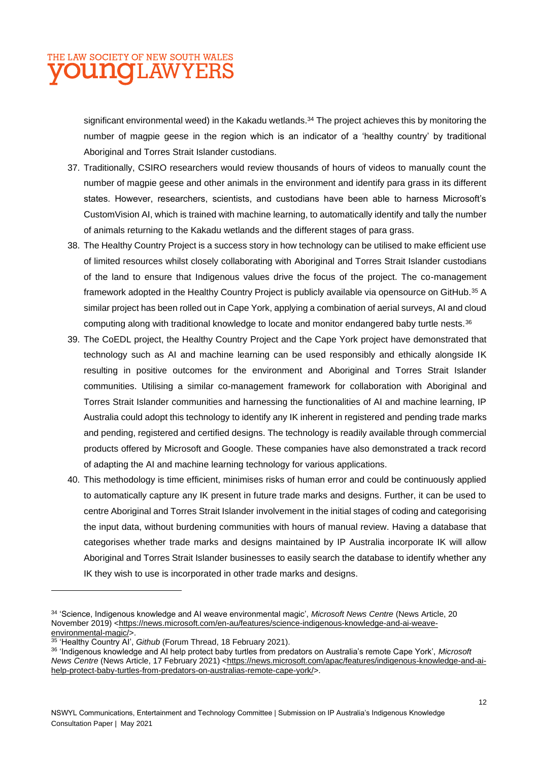significant environmental weed) in the Kakadu wetlands.<sup>34</sup> The project achieves this by monitoring the number of magpie geese in the region which is an indicator of a 'healthy country' by traditional Aboriginal and Torres Strait Islander custodians.

- 37. Traditionally, CSIRO researchers would review thousands of hours of videos to manually count the number of magpie geese and other animals in the environment and identify para grass in its different states. However, researchers, scientists, and custodians have been able to harness Microsoft's CustomVision AI, which is trained with machine learning, to automatically identify and tally the number of animals returning to the Kakadu wetlands and the different stages of para grass.
- 38. The Healthy Country Project is a success story in how technology can be utilised to make efficient use of limited resources whilst closely collaborating with Aboriginal and Torres Strait Islander custodians of the land to ensure that Indigenous values drive the focus of the project. The co-management framework adopted in the Healthy Country Project is publicly available via opensource on GitHub.<sup>35</sup> A similar project has been rolled out in Cape York, applying a combination of aerial surveys, AI and cloud computing along with traditional knowledge to locate and monitor endangered baby turtle nests.<sup>36</sup>
- 39. The CoEDL project, the Healthy Country Project and the Cape York project have demonstrated that technology such as AI and machine learning can be used responsibly and ethically alongside IK resulting in positive outcomes for the environment and Aboriginal and Torres Strait Islander communities. Utilising a similar co-management framework for collaboration with Aboriginal and Torres Strait Islander communities and harnessing the functionalities of AI and machine learning, IP Australia could adopt this technology to identify any IK inherent in registered and pending trade marks and pending, registered and certified designs. The technology is readily available through commercial products offered by Microsoft and Google. These companies have also demonstrated a track record of adapting the AI and machine learning technology for various applications.
- 40. This methodology is time efficient, minimises risks of human error and could be continuously applied to automatically capture any IK present in future trade marks and designs. Further, it can be used to centre Aboriginal and Torres Strait Islander involvement in the initial stages of coding and categorising the input data, without burdening communities with hours of manual review. Having a database that categorises whether trade marks and designs maintained by IP Australia incorporate IK will allow Aboriginal and Torres Strait Islander businesses to easily search the database to identify whether any IK they wish to use is incorporated in other trade marks and designs.

<sup>34</sup> 'Science, Indigenous knowledge and AI weave environmental magic', *Microsoft News Centre* (News Article, 20 November 2019) [<https://news.microsoft.com/en-au/features/science-indigenous-knowledge-and-ai-weave](https://news.microsoft.com/en-au/features/science-indigenous-knowledge-and-ai-weave-environmental-magic/)[environmental-magic/>](https://news.microsoft.com/en-au/features/science-indigenous-knowledge-and-ai-weave-environmental-magic/).

<sup>35</sup> 'Healthy Country AI', *Github* (Forum Thread, 18 February 2021).

<sup>36</sup> 'Indigenous knowledge and AI help protect baby turtles from predators on Australia's remote Cape York', *Microsoft News Centre* (News Article, 17 February 2021) [<https://news.microsoft.com/apac/features/indigenous-knowledge-and-ai](https://news.microsoft.com/apac/features/indigenous-knowledge-and-ai-help-protect-baby-turtles-from-predators-on-australias-remote-cape-york/)[help-protect-baby-turtles-from-predators-on-australias-remote-cape-york/>](https://news.microsoft.com/apac/features/indigenous-knowledge-and-ai-help-protect-baby-turtles-from-predators-on-australias-remote-cape-york/).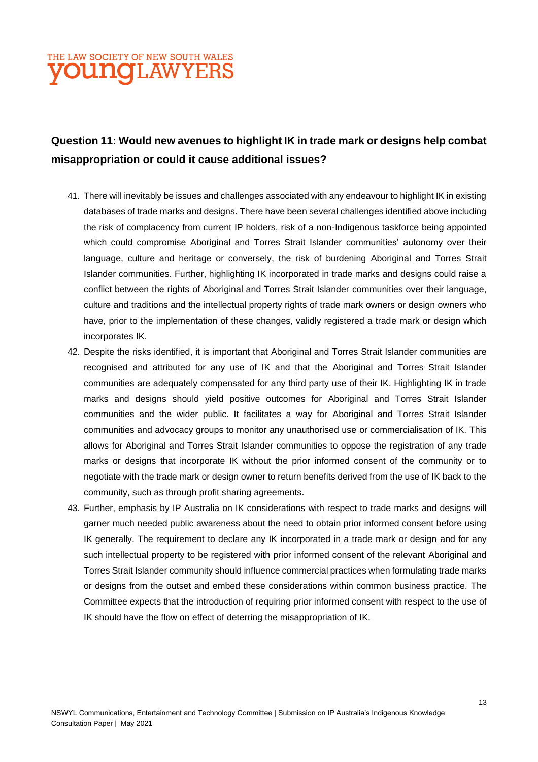### **Question 11: Would new avenues to highlight IK in trade mark or designs help combat misappropriation or could it cause additional issues?**

- 41. There will inevitably be issues and challenges associated with any endeavour to highlight IK in existing databases of trade marks and designs. There have been several challenges identified above including the risk of complacency from current IP holders, risk of a non-Indigenous taskforce being appointed which could compromise Aboriginal and Torres Strait Islander communities' autonomy over their language, culture and heritage or conversely, the risk of burdening Aboriginal and Torres Strait Islander communities. Further, highlighting IK incorporated in trade marks and designs could raise a conflict between the rights of Aboriginal and Torres Strait Islander communities over their language, culture and traditions and the intellectual property rights of trade mark owners or design owners who have, prior to the implementation of these changes, validly registered a trade mark or design which incorporates IK.
- 42. Despite the risks identified, it is important that Aboriginal and Torres Strait Islander communities are recognised and attributed for any use of IK and that the Aboriginal and Torres Strait Islander communities are adequately compensated for any third party use of their IK. Highlighting IK in trade marks and designs should yield positive outcomes for Aboriginal and Torres Strait Islander communities and the wider public. It facilitates a way for Aboriginal and Torres Strait Islander communities and advocacy groups to monitor any unauthorised use or commercialisation of IK. This allows for Aboriginal and Torres Strait Islander communities to oppose the registration of any trade marks or designs that incorporate IK without the prior informed consent of the community or to negotiate with the trade mark or design owner to return benefits derived from the use of IK back to the community, such as through profit sharing agreements.
- 43. Further, emphasis by IP Australia on IK considerations with respect to trade marks and designs will garner much needed public awareness about the need to obtain prior informed consent before using IK generally. The requirement to declare any IK incorporated in a trade mark or design and for any such intellectual property to be registered with prior informed consent of the relevant Aboriginal and Torres Strait Islander community should influence commercial practices when formulating trade marks or designs from the outset and embed these considerations within common business practice. The Committee expects that the introduction of requiring prior informed consent with respect to the use of IK should have the flow on effect of deterring the misappropriation of IK.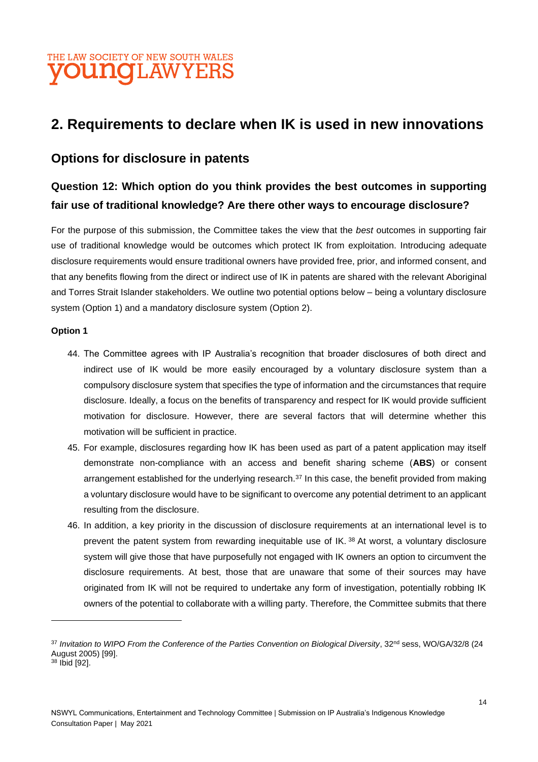## **2. Requirements to declare when IK is used in new innovations**

#### **Options for disclosure in patents**

### **Question 12: Which option do you think provides the best outcomes in supporting fair use of traditional knowledge? Are there other ways to encourage disclosure?**

For the purpose of this submission, the Committee takes the view that the *best* outcomes in supporting fair use of traditional knowledge would be outcomes which protect IK from exploitation. Introducing adequate disclosure requirements would ensure traditional owners have provided free, prior, and informed consent, and that any benefits flowing from the direct or indirect use of IK in patents are shared with the relevant Aboriginal and Torres Strait Islander stakeholders. We outline two potential options below – being a voluntary disclosure system (Option 1) and a mandatory disclosure system (Option 2).

#### **Option 1**

- 44. The Committee agrees with IP Australia's recognition that broader disclosures of both direct and indirect use of IK would be more easily encouraged by a voluntary disclosure system than a compulsory disclosure system that specifies the type of information and the circumstances that require disclosure. Ideally, a focus on the benefits of transparency and respect for IK would provide sufficient motivation for disclosure. However, there are several factors that will determine whether this motivation will be sufficient in practice.
- 45. For example, disclosures regarding how IK has been used as part of a patent application may itself demonstrate non-compliance with an access and benefit sharing scheme (**ABS**) or consent arrangement established for the underlying research.<sup>37</sup> In this case, the benefit provided from making a voluntary disclosure would have to be significant to overcome any potential detriment to an applicant resulting from the disclosure.
- 46. In addition, a key priority in the discussion of disclosure requirements at an international level is to prevent the patent system from rewarding inequitable use of IK. 38 At worst, a voluntary disclosure system will give those that have purposefully not engaged with IK owners an option to circumvent the disclosure requirements. At best, those that are unaware that some of their sources may have originated from IK will not be required to undertake any form of investigation, potentially robbing IK owners of the potential to collaborate with a willing party. Therefore, the Committee submits that there

<sup>&</sup>lt;sup>37</sup> Invitation to WIPO From the Conference of the Parties Convention on Biological Diversity, 32<sup>nd</sup> sess, WO/GA/32/8 (24 August 2005) [99].

<sup>38</sup> Ibid [92].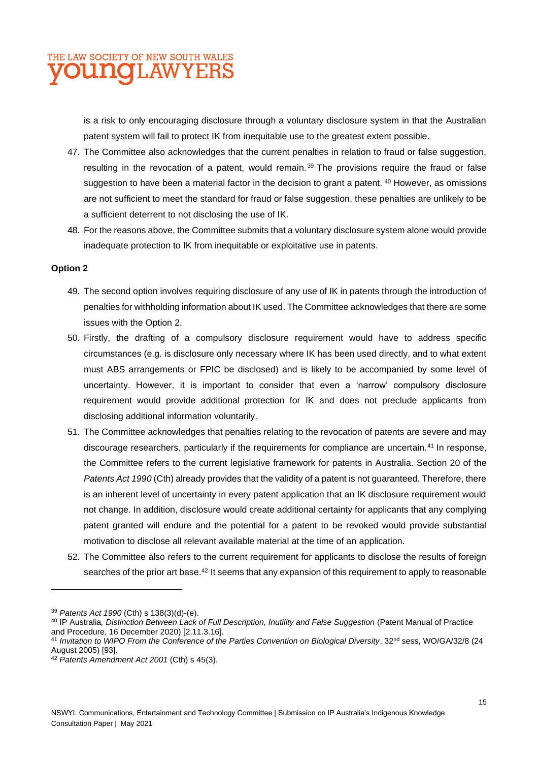

is a risk to only encouraging disclosure through a voluntary disclosure system in that the Australian patent system will fail to protect IK from inequitable use to the greatest extent possible.

- 47. The Committee also acknowledges that the current penalties in relation to fraud or false suggestion, resulting in the revocation of a patent, would remain.<sup>39</sup> The provisions require the fraud or false suggestion to have been a material factor in the decision to grant a patent. <sup>40</sup> However, as omissions are not sufficient to meet the standard for fraud or false suggestion, these penalties are unlikely to be a sufficient deterrent to not disclosing the use of IK.
- 48. For the reasons above, the Committee submits that a voluntary disclosure system alone would provide inadequate protection to IK from inequitable or exploitative use in patents.

#### **Option 2**

- 49. The second option involves requiring disclosure of any use of IK in patents through the introduction of penalties for withholding information about IK used. The Committee acknowledges that there are some issues with the Option 2.
- 50. Firstly, the drafting of a compulsory disclosure requirement would have to address specific circumstances (e.g. is disclosure only necessary where IK has been used directly, and to what extent must ABS arrangements or FPIC be disclosed) and is likely to be accompanied by some level of uncertainty. However, it is important to consider that even a 'narrow' compulsory disclosure requirement would provide additional protection for IK and does not preclude applicants from disclosing additional information voluntarily.
- 51. The Committee acknowledges that penalties relating to the revocation of patents are severe and may discourage researchers, particularly if the requirements for compliance are uncertain.<sup>41</sup> In response, the Committee refers to the current legislative framework for patents in Australia. Section 20 of the *Patents Act 1990* (Cth) already provides that the validity of a patent is not guaranteed. Therefore, there is an inherent level of uncertainty in every patent application that an IK disclosure requirement would not change. In addition, disclosure would create additional certainty for applicants that any complying patent granted will endure and the potential for a patent to be revoked would provide substantial motivation to disclose all relevant available material at the time of an application.
- 52. The Committee also refers to the current requirement for applicants to disclose the results of foreign searches of the prior art base.<sup>42</sup> It seems that any expansion of this requirement to apply to reasonable

<sup>39</sup> *Patents Act 1990* (Cth) s 138(3)(d)-(e).

<sup>40</sup> IP Australia*, Distinction Between Lack of Full Description, Inutility and False Suggestion* (Patent Manual of Practice and Procedure, 16 December 2020) [2.11.3.16].

<sup>&</sup>lt;sup>41</sup> Invitation to WIPO From the Conference of the Parties Convention on Biological Diversity, 32<sup>nd</sup> sess, WO/GA/32/8 (24 August 2005) [93].

<sup>42</sup> *Patents Amendment Act 2001* (Cth) s 45(3).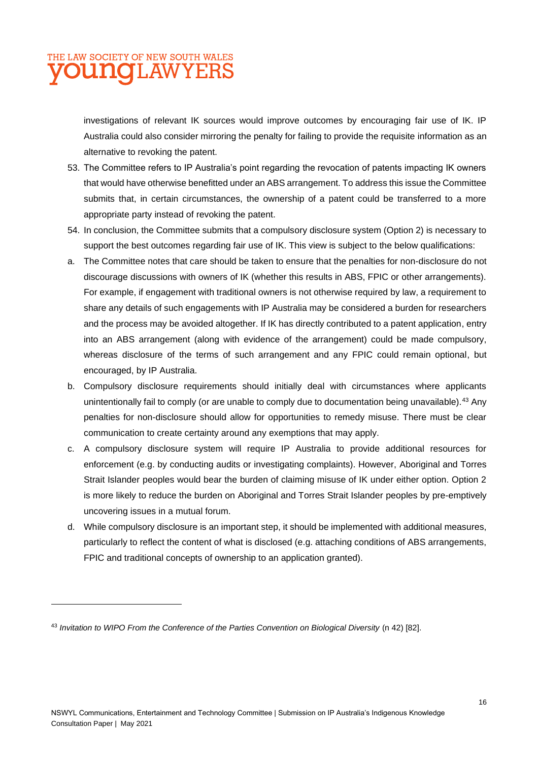investigations of relevant IK sources would improve outcomes by encouraging fair use of IK. IP Australia could also consider mirroring the penalty for failing to provide the requisite information as an alternative to revoking the patent.

- 53. The Committee refers to IP Australia's point regarding the revocation of patents impacting IK owners that would have otherwise benefitted under an ABS arrangement. To address this issue the Committee submits that, in certain circumstances, the ownership of a patent could be transferred to a more appropriate party instead of revoking the patent.
- 54. In conclusion, the Committee submits that a compulsory disclosure system (Option 2) is necessary to support the best outcomes regarding fair use of IK. This view is subject to the below qualifications:
- a. The Committee notes that care should be taken to ensure that the penalties for non-disclosure do not discourage discussions with owners of IK (whether this results in ABS, FPIC or other arrangements). For example, if engagement with traditional owners is not otherwise required by law, a requirement to share any details of such engagements with IP Australia may be considered a burden for researchers and the process may be avoided altogether. If IK has directly contributed to a patent application, entry into an ABS arrangement (along with evidence of the arrangement) could be made compulsory, whereas disclosure of the terms of such arrangement and any FPIC could remain optional, but encouraged, by IP Australia.
- b. Compulsory disclosure requirements should initially deal with circumstances where applicants unintentionally fail to comply (or are unable to comply due to documentation being unavailable).<sup>43</sup> Any penalties for non-disclosure should allow for opportunities to remedy misuse. There must be clear communication to create certainty around any exemptions that may apply.
- c. A compulsory disclosure system will require IP Australia to provide additional resources for enforcement (e.g. by conducting audits or investigating complaints). However, Aboriginal and Torres Strait Islander peoples would bear the burden of claiming misuse of IK under either option. Option 2 is more likely to reduce the burden on Aboriginal and Torres Strait Islander peoples by pre-emptively uncovering issues in a mutual forum.
- d. While compulsory disclosure is an important step, it should be implemented with additional measures, particularly to reflect the content of what is disclosed (e.g. attaching conditions of ABS arrangements, FPIC and traditional concepts of ownership to an application granted).

<sup>43</sup> *Invitation to WIPO From the Conference of the Parties Convention on Biological Diversity* (n 42) [82].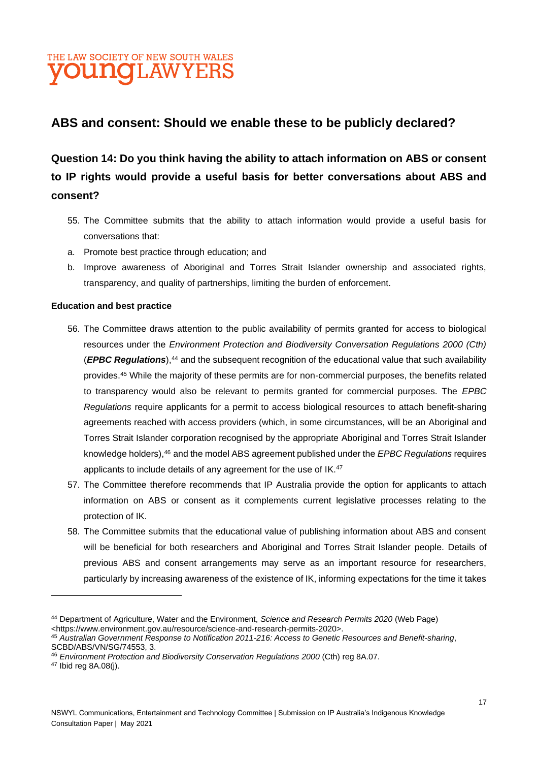### **ABS and consent: Should we enable these to be publicly declared?**

**Question 14: Do you think having the ability to attach information on ABS or consent to IP rights would provide a useful basis for better conversations about ABS and consent?**

- 55. The Committee submits that the ability to attach information would provide a useful basis for conversations that:
- a. Promote best practice through education; and
- b. Improve awareness of Aboriginal and Torres Strait Islander ownership and associated rights, transparency, and quality of partnerships, limiting the burden of enforcement.

#### **Education and best practice**

- 56. The Committee draws attention to the public availability of permits granted for access to biological resources under the *Environment Protection and Biodiversity Conversation Regulations 2000 (Cth)*  (*EPBC Regulations*),<sup>44</sup> and the subsequent recognition of the educational value that such availability provides.<sup>45</sup> While the majority of these permits are for non-commercial purposes, the benefits related to transparency would also be relevant to permits granted for commercial purposes. The *EPBC Regulations* require applicants for a permit to access biological resources to attach benefit-sharing agreements reached with access providers (which, in some circumstances, will be an Aboriginal and Torres Strait Islander corporation recognised by the appropriate Aboriginal and Torres Strait Islander knowledge holders),<sup>46</sup> and the model ABS agreement published under the *EPBC Regulations* requires applicants to include details of any agreement for the use of IK.<sup>47</sup>
- 57. The Committee therefore recommends that IP Australia provide the option for applicants to attach information on ABS or consent as it complements current legislative processes relating to the protection of IK.
- 58. The Committee submits that the educational value of publishing information about ABS and consent will be beneficial for both researchers and Aboriginal and Torres Strait Islander people. Details of previous ABS and consent arrangements may serve as an important resource for researchers, particularly by increasing awareness of the existence of IK, informing expectations for the time it takes

<sup>44</sup> Department of Agriculture, Water and the Environment, *Science and Research Permits 2020* (Web Page) <https://www.environment.gov.au/resource/science-and-research-permits-2020>.

<sup>45</sup> *Australian Government Response to Notification 2011-216: Access to Genetic Resources and Benefit-sharing*, SCBD/ABS/VN/SG/74553, 3.

<sup>46</sup> *Environment Protection and Biodiversity Conservation Regulations 2000* (Cth) reg 8A.07.

<sup>47</sup> Ibid reg 8A.08(j).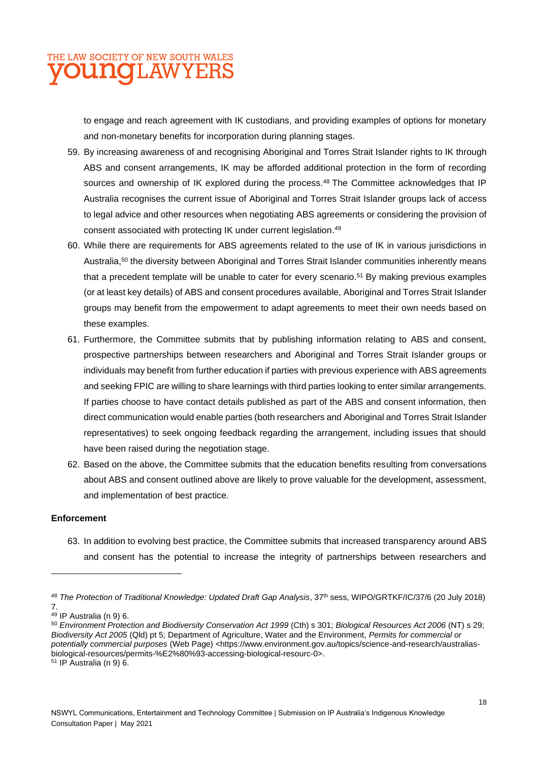

to engage and reach agreement with IK custodians, and providing examples of options for monetary and non-monetary benefits for incorporation during planning stages.

- 59. By increasing awareness of and recognising Aboriginal and Torres Strait Islander rights to IK through ABS and consent arrangements, IK may be afforded additional protection in the form of recording sources and ownership of IK explored during the process.<sup>48</sup> The Committee acknowledges that IP Australia recognises the current issue of Aboriginal and Torres Strait Islander groups lack of access to legal advice and other resources when negotiating ABS agreements or considering the provision of consent associated with protecting IK under current legislation. 49
- 60. While there are requirements for ABS agreements related to the use of IK in various jurisdictions in Australia,<sup>50</sup> the diversity between Aboriginal and Torres Strait Islander communities inherently means that a precedent template will be unable to cater for every scenario.<sup>51</sup> By making previous examples (or at least key details) of ABS and consent procedures available, Aboriginal and Torres Strait Islander groups may benefit from the empowerment to adapt agreements to meet their own needs based on these examples.
- 61. Furthermore, the Committee submits that by publishing information relating to ABS and consent, prospective partnerships between researchers and Aboriginal and Torres Strait Islander groups or individuals may benefit from further education if parties with previous experience with ABS agreements and seeking FPIC are willing to share learnings with third parties looking to enter similar arrangements. If parties choose to have contact details published as part of the ABS and consent information, then direct communication would enable parties (both researchers and Aboriginal and Torres Strait Islander representatives) to seek ongoing feedback regarding the arrangement, including issues that should have been raised during the negotiation stage.
- 62. Based on the above, the Committee submits that the education benefits resulting from conversations about ABS and consent outlined above are likely to prove valuable for the development, assessment, and implementation of best practice.

#### **Enforcement**

63. In addition to evolving best practice, the Committee submits that increased transparency around ABS and consent has the potential to increase the integrity of partnerships between researchers and

<sup>&</sup>lt;sup>48</sup> The Protection of Traditional Knowledge: Updated Draft Gap Analysis, 37<sup>th</sup> sess, WIPO/GRTKF/IC/37/6 (20 July 2018) 7.

<sup>&</sup>lt;sup>49</sup> IP Australia (n 9) 6.

<sup>50</sup> *Environment Protection and Biodiversity Conservation Act 1999* (Cth) s 301; *Biological Resources Act 2006* (NT) s 29; *Biodiversity Act 2005* (Qld) pt 5; Department of Agriculture, Water and the Environment, *Permits for commercial or potentially commercial purposes* (Web Page) <https://www.environment.gov.au/topics/science-and-research/australiasbiological-resources/permits-%E2%80%93-accessing-biological-resourc-0>. <sup>51</sup> IP Australia (n 9) 6.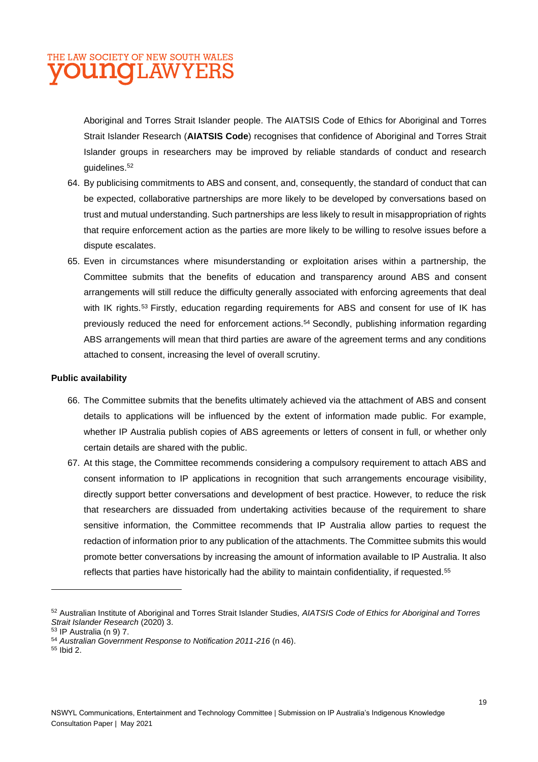## THE LAW SOCIETY OF NEW SOUTH WALES **VOUNGLAWYERS**

Aboriginal and Torres Strait Islander people. The AIATSIS Code of Ethics for Aboriginal and Torres Strait Islander Research (**AIATSIS Code**) recognises that confidence of Aboriginal and Torres Strait Islander groups in researchers may be improved by reliable standards of conduct and research guidelines.<sup>52</sup>

- 64. By publicising commitments to ABS and consent, and, consequently, the standard of conduct that can be expected, collaborative partnerships are more likely to be developed by conversations based on trust and mutual understanding. Such partnerships are less likely to result in misappropriation of rights that require enforcement action as the parties are more likely to be willing to resolve issues before a dispute escalates.
- 65. Even in circumstances where misunderstanding or exploitation arises within a partnership, the Committee submits that the benefits of education and transparency around ABS and consent arrangements will still reduce the difficulty generally associated with enforcing agreements that deal with IK rights.<sup>53</sup> Firstly, education regarding requirements for ABS and consent for use of IK has previously reduced the need for enforcement actions.<sup>54</sup> Secondly, publishing information regarding ABS arrangements will mean that third parties are aware of the agreement terms and any conditions attached to consent, increasing the level of overall scrutiny.

#### **Public availability**

- 66. The Committee submits that the benefits ultimately achieved via the attachment of ABS and consent details to applications will be influenced by the extent of information made public. For example, whether IP Australia publish copies of ABS agreements or letters of consent in full, or whether only certain details are shared with the public.
- 67. At this stage, the Committee recommends considering a compulsory requirement to attach ABS and consent information to IP applications in recognition that such arrangements encourage visibility, directly support better conversations and development of best practice. However, to reduce the risk that researchers are dissuaded from undertaking activities because of the requirement to share sensitive information, the Committee recommends that IP Australia allow parties to request the redaction of information prior to any publication of the attachments. The Committee submits this would promote better conversations by increasing the amount of information available to IP Australia. It also reflects that parties have historically had the ability to maintain confidentiality, if requested.<sup>55</sup>

<sup>52</sup> Australian Institute of Aboriginal and Torres Strait Islander Studies, *AIATSIS Code of Ethics for Aboriginal and Torres Strait Islander Research* (2020) 3.

<sup>53</sup> IP Australia (n 9) 7.

<sup>54</sup> *Australian Government Response to Notification 2011-216* (n 46).

<sup>55</sup> Ibid 2.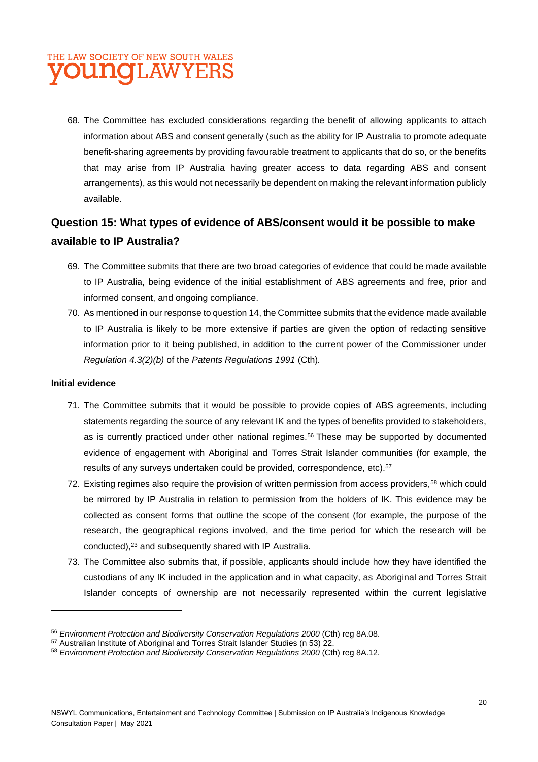## THE LAW SOCIETY OF NEW SOUTH WALES **JOUNGLAWYERS**

68. The Committee has excluded considerations regarding the benefit of allowing applicants to attach information about ABS and consent generally (such as the ability for IP Australia to promote adequate benefit-sharing agreements by providing favourable treatment to applicants that do so, or the benefits that may arise from IP Australia having greater access to data regarding ABS and consent arrangements), as this would not necessarily be dependent on making the relevant information publicly available.

### **Question 15: What types of evidence of ABS/consent would it be possible to make available to IP Australia?**

- 69. The Committee submits that there are two broad categories of evidence that could be made available to IP Australia, being evidence of the initial establishment of ABS agreements and free, prior and informed consent, and ongoing compliance.
- 70. As mentioned in our response to question 14, the Committee submits that the evidence made available to IP Australia is likely to be more extensive if parties are given the option of redacting sensitive information prior to it being published, in addition to the current power of the Commissioner under *Regulation 4.3(2)(b)* of the *Patents Regulations 1991* (Cth)*.*

#### **Initial evidence**

- 71. The Committee submits that it would be possible to provide copies of ABS agreements, including statements regarding the source of any relevant IK and the types of benefits provided to stakeholders, as is currently practiced under other national regimes.<sup>56</sup> These may be supported by documented evidence of engagement with Aboriginal and Torres Strait Islander communities (for example, the results of any surveys undertaken could be provided, correspondence, etc).<sup>57</sup>
- 72. Existing regimes also require the provision of written permission from access providers,<sup>58</sup> which could be mirrored by IP Australia in relation to permission from the holders of IK. This evidence may be collected as consent forms that outline the scope of the consent (for example, the purpose of the research, the geographical regions involved, and the time period for which the research will be conducted),<sup>23</sup> and subsequently shared with IP Australia.
- 73. The Committee also submits that, if possible, applicants should include how they have identified the custodians of any IK included in the application and in what capacity, as Aboriginal and Torres Strait Islander concepts of ownership are not necessarily represented within the current legislative

<sup>56</sup> *Environment Protection and Biodiversity Conservation Regulations 2000* (Cth) reg 8A.08.

<sup>57</sup> Australian Institute of Aboriginal and Torres Strait Islander Studies (n 53) 22.

<sup>58</sup> *Environment Protection and Biodiversity Conservation Regulations 2000* (Cth) reg 8A.12.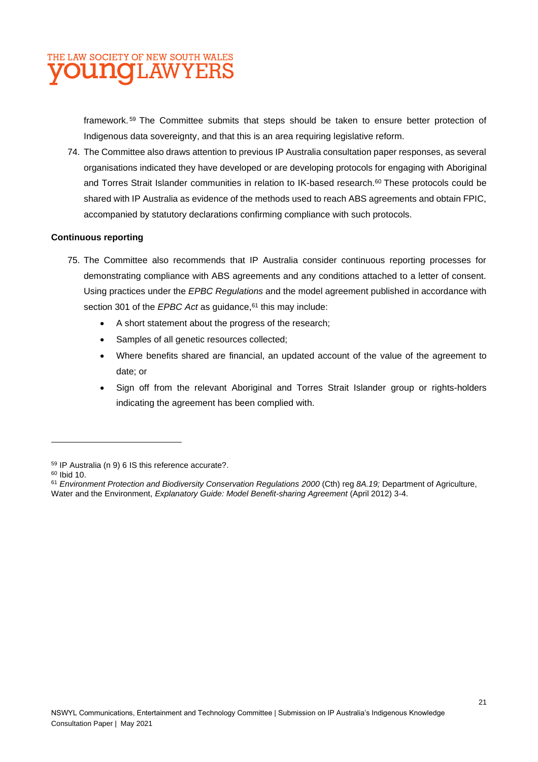

framework. <sup>59</sup> The Committee submits that steps should be taken to ensure better protection of Indigenous data sovereignty, and that this is an area requiring legislative reform.

74. The Committee also draws attention to previous IP Australia consultation paper responses, as several organisations indicated they have developed or are developing protocols for engaging with Aboriginal and Torres Strait Islander communities in relation to IK-based research.<sup>60</sup> These protocols could be shared with IP Australia as evidence of the methods used to reach ABS agreements and obtain FPIC, accompanied by statutory declarations confirming compliance with such protocols.

#### **Continuous reporting**

- 75. The Committee also recommends that IP Australia consider continuous reporting processes for demonstrating compliance with ABS agreements and any conditions attached to a letter of consent. Using practices under the *EPBC Regulations* and the model agreement published in accordance with section 301 of the *EPBC Act* as guidance, <sup>61</sup> this may include:
	- A short statement about the progress of the research;
	- Samples of all genetic resources collected;
	- Where benefits shared are financial, an updated account of the value of the agreement to date; or
	- Sign off from the relevant Aboriginal and Torres Strait Islander group or rights-holders indicating the agreement has been complied with.

<sup>59</sup> IP Australia (n 9) 6 IS this reference accurate?.

<sup>60</sup> Ibid 10.

<sup>61</sup> *Environment Protection and Biodiversity Conservation Regulations 2000* (Cth) reg *8A.19;* Department of Agriculture, Water and the Environment, *Explanatory Guide: Model Benefit-sharing Agreement* (April 2012) 3-4.